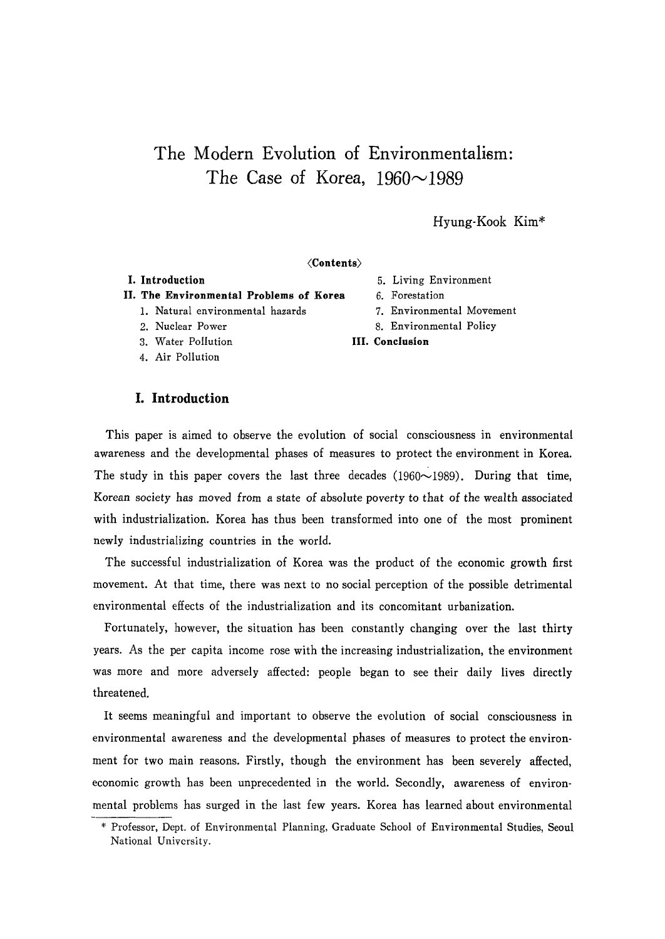# **The Modern Evolution of Environmentalism:**  The Case of Korea,  $1960 \sim 1989$

# Hyung-Kook Kim\*

### <Contents)

# **II. The Environmental Problems of Korea** 6. Forestation

- 1. Natural environmental hazards
- 2. Nuclear Power
- 3. Water Pollution
- 4. Air Pollution

# **I. Introduction**

#### **I. Introduction** 5. Living Environment

- 
- 7. Environmental Movement
- 8. Environmental Policy
- **III. Conclusion**

This paper is aimed to observe the evolution of social consciousness in environmental awareness and the developmental phases of measures to protect the environment in Korea. The study in this paper covers the last three decades  $(1960{\sim}1989)$ . During that time, Korean society has moved from a state of absolute poverty to that of the wealth associated with industrialization. Korea has thus been transformed into one of the most prominent newly industrializing countries in the world.

The successful industrialization of Korea was the product of the economic growth first movement. At that time, there was next to no social perception of the possible detrimental environmental effects of the industrialization and its concomitant urbanization.

Fortunately, however, the situation has been constantly changing over the last thirty years. As the per capita income rose with the increasing industrialization, the environment was more and more adversely affected: people began to see their daily lives directly threatened.

It seems meaningful and important to observe the evolution of social consciousness in environmental awareness and the developmental phases of measures to protect the environment for two main reasons. Firstly, though the environment has been severely affected, economic growth has been unprecedented in the world. Secondly, awareness of environmental problems has surged in the last few years. Korea has learned about environmental

<sup>\*</sup> Professor, Dept. of Environmental Planning, Graduate School of Environmental Studies, Seoul National University.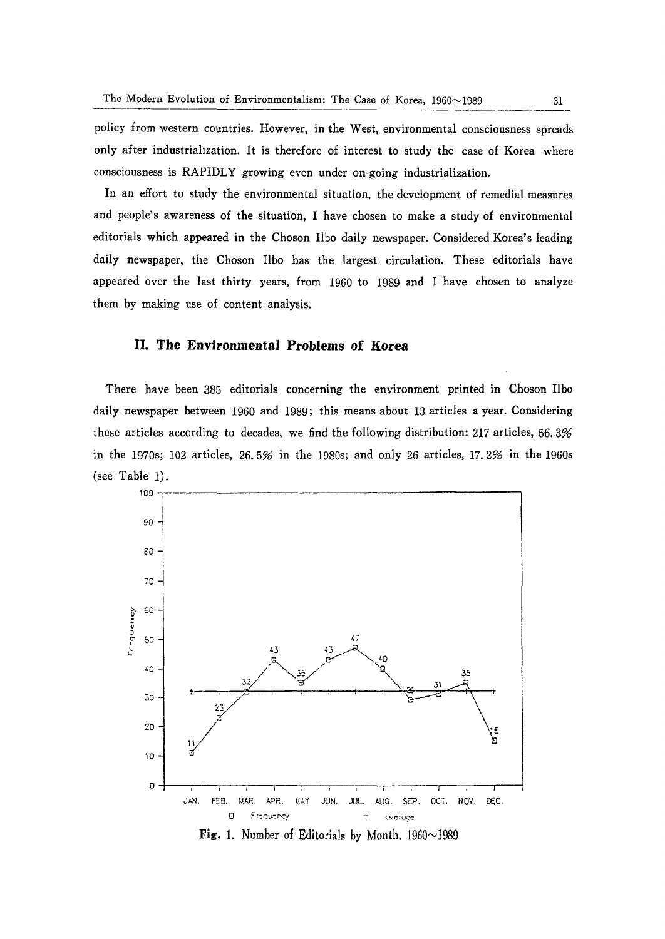policy from western countries. However, in the West, environmental consciousness spreads only after industrialization. It is therefore of interest to study the case of Korea where consciousness is RAPIDLY growing even under on-going industrialization.

In an effort to study the environmental situation, the development of remedial measures and people's awareness of the situation, I have chosen to make a study of environmental editorials which appeared in the Choson Ilbo daily newspaper. Considered Korea's leading daily newspaper, the Choson Ilbo has the largest circulation. These editorials have appeared over the last thirty years, from 1960 to 1989 and I have chosen to analyze them by making use of content analysis.

# **II. The Environmental Problems of Korea**

There have been 385 editorials concerning the environment printed in Choson Ilbo daily newspaper between 1960 and 1989; this means about 13 articles a year. Considering these articles according to decades, we find the following distribution: 217 articles, 56.3% in the 1970s; 102 articles, 26.5% in the 1980s; and only 26 articles, 17.2% in the 1960s (see Table 1).



**Fig. 1.** Number of Editorials by Month,  $1960 \sim 1989$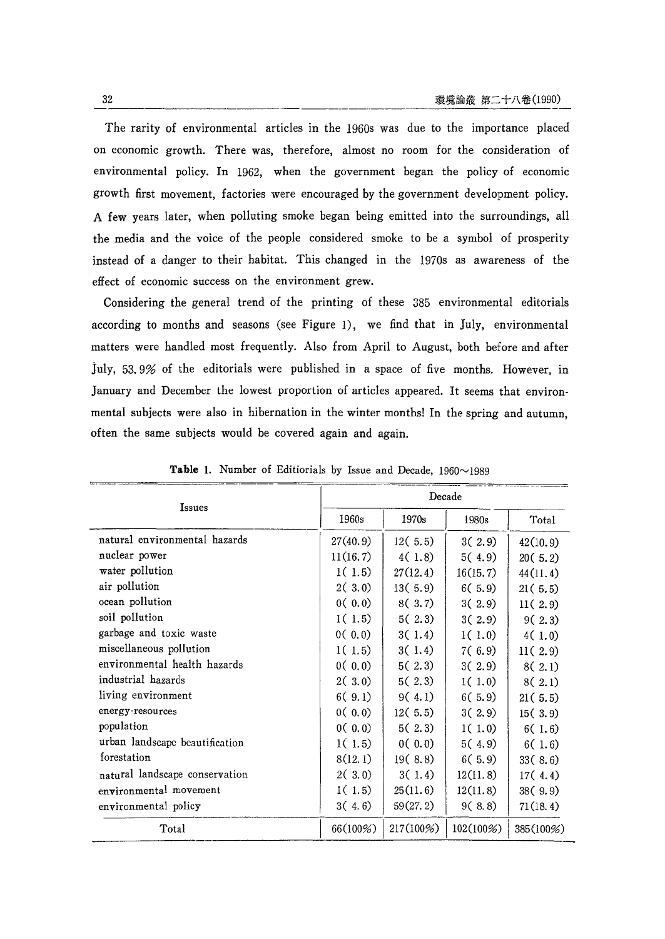The rarity of environmental articles in the 1960s was due to the importance placed on economic growth. There was, therefore, almost no room for the consideration of environmental policy. In 1962, when the government began the policy of economic growth first movement, factories were encouraged by the government development policy. A few years later, when polluting smoke began being emitted into the surroundings, all the media and the voice of the people considered smoke to be a symbol of prosperity instead of a danger to their habitat. This changed in the 1970s as awareness of the effect of economic success on the environment grew.

Considering the general trend of the printing of these 385 environmental editorials according to months and seasons (see Figure 1), we find that in July, environmental matters were handled most frequently. Also from April to August, both before and after July, 53.9% of the editorials were published in a space of five months. However, in January and December the lowest proportion of articles appeared. It seems that environmental subjects were also in hibernation in the winter months! In the spring and autumn, often the same subjects would be covered again and again.

| Issues                         | Decade    |           |           |           |
|--------------------------------|-----------|-----------|-----------|-----------|
|                                | 1960s     | 1970s     | 1980s     | Total     |
| natural environmental hazards  | 27(40.9)  | 12(5.5)   | 3(2.9)    | 42(10.9)  |
| nuclear power                  | 11(16, 7) | 4(1,8)    | 5(4.9)    | 20(5.2)   |
| water pollution                | 1(1.5)    | 27(12.4)  | 16(15.7)  | 44(11.4)  |
| air pollution                  | 2(3.0)    | 13(5.9)   | 6(5, 9)   | 21(5.5)   |
| ocean pollution                | 0(0.0)    | 8(3.7)    | 3(2.9)    | 11(2.9)   |
| soil pollution                 | 1(1.5)    | 5(2.3)    | 3(2.9)    | 9(2,3)    |
| garbage and toxic waste        | 0(0,0)    | 3(1.4)    | 1(1.0)    | 4(1,0)    |
| miscellaneous pollution        | 1(1.5)    | 3(1.4)    | 7(6.9)    | 11(2.9)   |
| environmental health hazards   | 0(0.0)    | 5(2.3)    | 3(2.9)    | 8(2.1)    |
| industrial hazards             | 2(3.0)    | 5(2,3)    | 1(1.0)    | 8(2.1)    |
| living environment             | 6(9.1)    | 9(4.1)    | 6(5.9)    | 21(5.5)   |
| energy-resources               | 0(0,0)    | 12(5.5)   | 3(2.9)    | 15(3.9)   |
| population                     | 0(0.0)    | 5(2,3)    | 1(1.0)    | 6(1.6)    |
| urban landscape beautification | 1(1.5)    | 0(0.0)    | 5(4.9)    | 6(1.6)    |
| forestation                    | 8(12.1)   | 19(8.8)   | 6(5, 9)   | 33(8.6)   |
| natural landscape conservation | 2(3.0)    | 3(1.4)    | 12(11.8)  | 17(4.4)   |
| environmental movement         | 1(1.5)    | 25(11.6)  | 12(11.8)  | 38(9.9)   |
| environmental policy           | 3(4.6)    | 59(27.2)  | 9(8.8)    | 71(18.4)  |
| Total                          | 66(100%)  | 217(100%) | 102(100%) | 385(100%) |

**Table 1.** Number of Editiorials by Issue and Decade,  $1960 \sim 1989$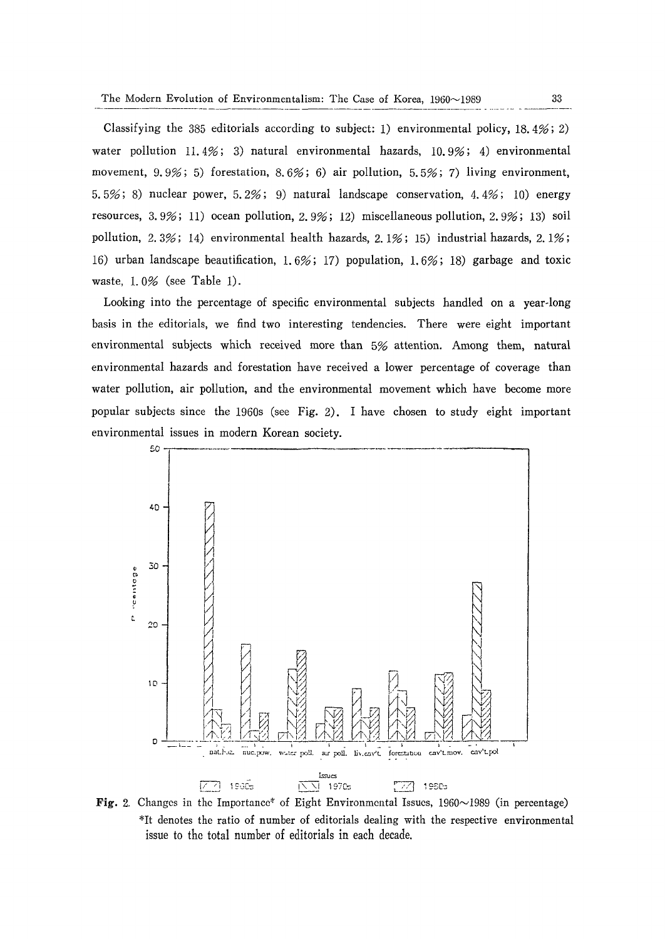Classifying the 385 editorials according to subject: 1) environmental policy, 18.4%; 2) water pollution 11.4%; 3) natural environmental hazards, 10.9%; 4) environmental movement,  $9.9\%$ ; 5) forestation,  $8.6\%$ ; 6) air pollution,  $5.5\%$ ; 7) living environment, 5.5%; 8) nuclear power, 5.2%; 9) natural landscape conservation, 4.4%; 10) energy resources, 3. 9%; 11) ocean pollution, 2. 9%; 12) miscellaneous pollution, 2. 9%; 13) soil pollution, 2.3%; 14) environmental health hazards, 2.1%; 15) industrial hazards, 2.1%; 16) urban landscape beautification, 1. 6%; 17) population, 1. 6%; 18) garbage and toxic waste, 1. 0% (see Table 1).

Looking into the percentage of specific environmental subjects handled on a year-long basis in the editorials, we find two interesting tendencies. There were eight important environmental subjects which received more than 5% attention. Among them, natural environmental hazards and forestation have received a lower percentage of coverage than water pollution, air pollution, and the environmental movement which have become more popular subjects since the 1960s (see Fig. 2). I have chosen to study eight important environmental issues in modern Korean society.



**Fig.** 2. Changes in the Importance<sup>\*</sup> of Eight Environmental Issues, 1960~1989 (in percentage) \*It denotes the ratio of number of editorials dealing with the respective environmental issue to the total number of editorials in each decade.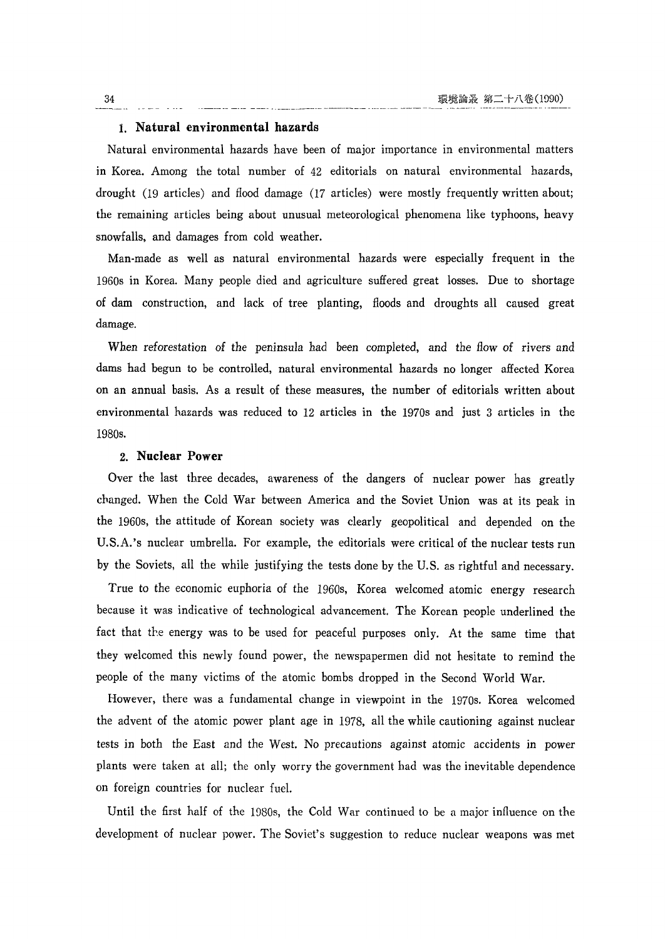#### 1. **Natural environmental hazards**

Natural environmental hazards have been of major importance in environmental matters in Korea. Among the total number of 42 editorials on natural environmental hazards, drought (19 articles) and flood damage (17 articles) were mostly frequently written about; the remaining articles being about unusual meteorological phenomena like typhoons, heavy snowfalls, and damages from cold weather.

Man-made as well as natural environmental hazards were especially frequent in the 1960s in Korea. Many people died and agriculture suffered great losses. Due to shortage of dam construction, and lack of tree planting, floods and droughts all caused great damage.

When reforestation of the peninsula had been completed, and the flow of rivers and dams had begun to be controlled, natural environmental hazards no longer affected Korea on an annual basis. As a result of these measures, the number of editorials written about environmental hazards was reduced to 12 articles in the 1970s and just 3 articles in the 1980s.

#### 2. **Nuclear Power**

Over the last three decades, awareness of the dangers of nuclear power has greatly changed. When the Cold War between America and the Soviet Union was at its peak in the 1960s, the attitude of Korean society was clearly geopolitical and depended on the U.S.A.'s nuclear umbrella. For example, the editorials were critical of the nuclear tests run by the Soviets, all the while justifying the tests done by the U.S. as rightful and necessary.

True to the economic euphoria of the 1960s, Korea welcomed atomic energy research because it was indicative of technological advancement. The Korean people underlined the fact that the energy was to be used for peaceful purposes only. At the same time that they welcomed this newly found power, the newspapermen did not hesitate to remind the people of the many victims of the atomic bombs dropped in the Second World War.

However, there was a fundamental change in viewpoint in the 1970s. Korea welcomed the advent of the atomic power plant age in 1978, all the while cautioning against nuclear tests in both the East and the West. No precautions against atomic accidents in power plants were taken at all; the only worry the government had was the inevitable dependence on foreign countries for nuclear fuel.

Until the first half of the 1980s, the Cold War continued to be a major influence on the development of nuclear power. The Soviet's suggestion to reduce nuclear weapons was met

34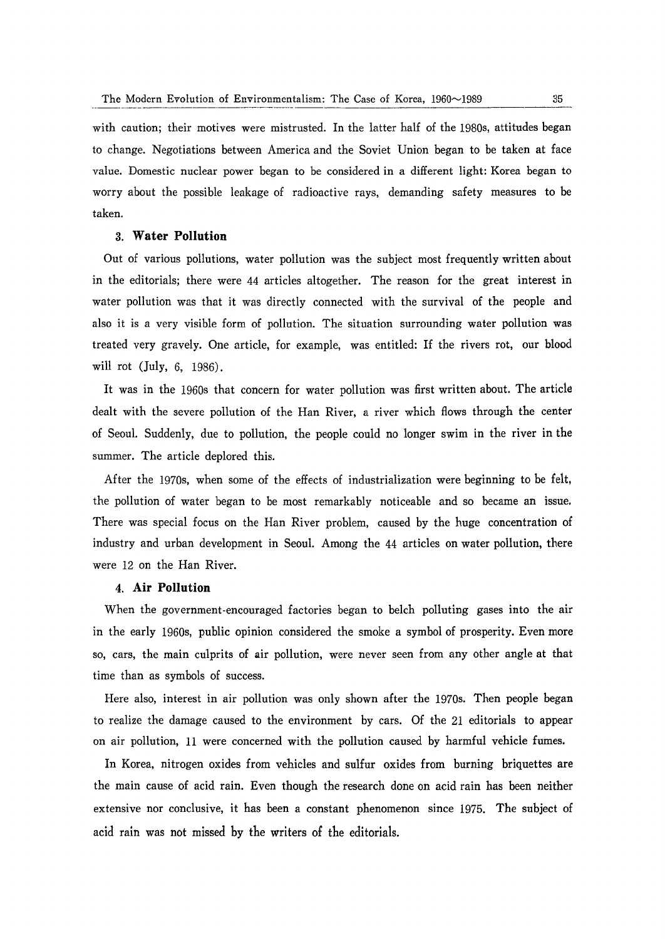with caution; their motives were mistrusted. In the latter half of the 1980s, attitudes began to change. Negotiations between America and the Soviet Union began to be taken at face value. Domestic nuclear power began to be considered in a different light: Korea began to worry about the possible leakage of radioactive rays, demanding safety measures to be taken.

# 3. **Water Pollution**

Out of various pollutions, water pollution was the subject most frequently written about in the editorials; there were 44 articles altogether. The reason for the great interest in water pollution was that it was directly connected with the survival of the people and also it is a very visible form of pollution. The situation surrounding water pollution was treated very gravely. One article, for example, was entitled: If the rivers rot, our blood will rot (July, 6, 1986).

It was in the 1960s that concern for water pollution was first written about. The article dealt with the severe pollution of the Han River, a river which flows through the center of Seoul. Suddenly, due to pollution, the people could no longer swim in the river in the summer. The article deplored this.

After the 1970s, when some of the effects of industrialization were beginning to be felt, the pollution of water began to be most remarkably noticeable and so became an issue. There was special focus on the Han River problem, caused by the huge concentration of industry and urban development in Seoul. Among the 44 articles on water pollution, there were 12 on the Han River.

# 4. **Air Pollution**

When the government· encouraged factories began to belch polluting gases into the air in the early 1960s, public opinion considered the smoke a symbol of prosperity. Even more so, cars, the main cu1prits of air pollution, were never seen from any other angle at that time than as symbols of success.

Here also, interest in air pollution was only shown after the 1970s. Then people began to realize the damage caused to the environment by cars. Of the 21 editorials to appear on air pollution, 11 were concerned with the pollution caused by harmful vehicle fumes.

In Korea, nitrogen oxides from vehicles and sulfur oxides from burning briquettes are the main cause of acid rain. Even though the research done on acid rain has been neither extensive nor conclusive, it has been a constant phenomenon since 1975. The subject of acid rain was not missed by the writers of the editorials.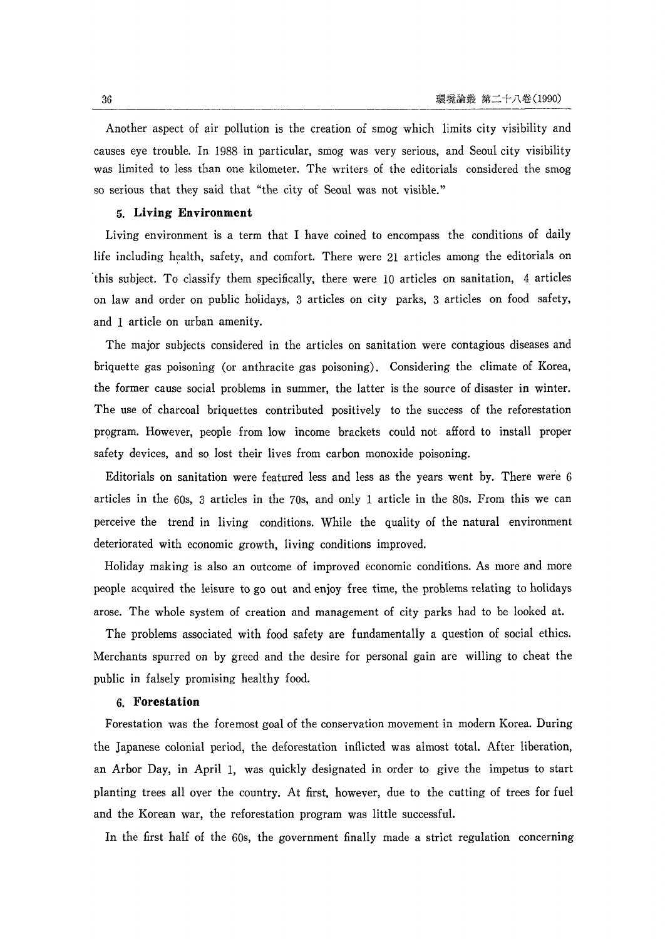Another aspect of air pollution is the creation of smog which limits city visibility and causes eye trouble. In 1988 in particular, smog was very serious, and Seoul city visibility was limited to less than one kilometer. The writers of the editorials considered the smog so serious that they said that "the city of Seoul was not visible."

#### 5. **Living Environment**

Living environment is a term that I have coined to encompass the conditions of daily life including health, safety, and comfort. There were 21 articles among the editorials on 'this subject. To classify them specifically, there were 10 articles on sanitation, 4 articles on law and order on public holidays, 3 articles on city parks, 3 articles on food safety, and 1 article on urban amenity.

The major subjects considered in the articles on sanitation were contagious diseases and briquette gas poisoning (or anthracite gas poisoning). Considering the climate of Korea, the former cause social problems in summer, the latter is the source of disaster in winter. The use of charcoal briquettes contributed positively to the success of the reforestation program. However, people from low income brackets could not afford to install proper safety devices, and so lost their lives from carbon monoxide poisoning.

Editorials on sanitation were featured less and less as the years went by. There were 6 articles in the 60s, 3 articles in the 70s, and only 1 article in the 80s. From this we can perceive the trend in living conditions. While the quality of the natural environment deteriorated with economic growth, living conditions improved.

Holiday making is also an outcome of improved economic conditions. As more and more people acquired the leisure to go out and enjoy free time, the problems relating to holidays arose. The whole system of creation and management of city parks had to be looked at.

The problems associated with food safety are fundamentally a question of social ethics. Merchants spurred on by greed and the desire for personal gain are willing to cheat the public in falsely promising healthy food.

#### 6. **Forestation**

Forestation was the foremost goal of the conservation movement in modern Korea. During the Japanese colonial period, the deforestation inflicted was almost total. After liberation, an Arbor Day, in April 1, was quickly designated in order to give the impetus to start planting trees all over the country. At first, however, due to the cutting of trees for fuel and the Korean war, the reforestation program was little successful.

In the first half of the 60s, the government finally made a strict regulation concerning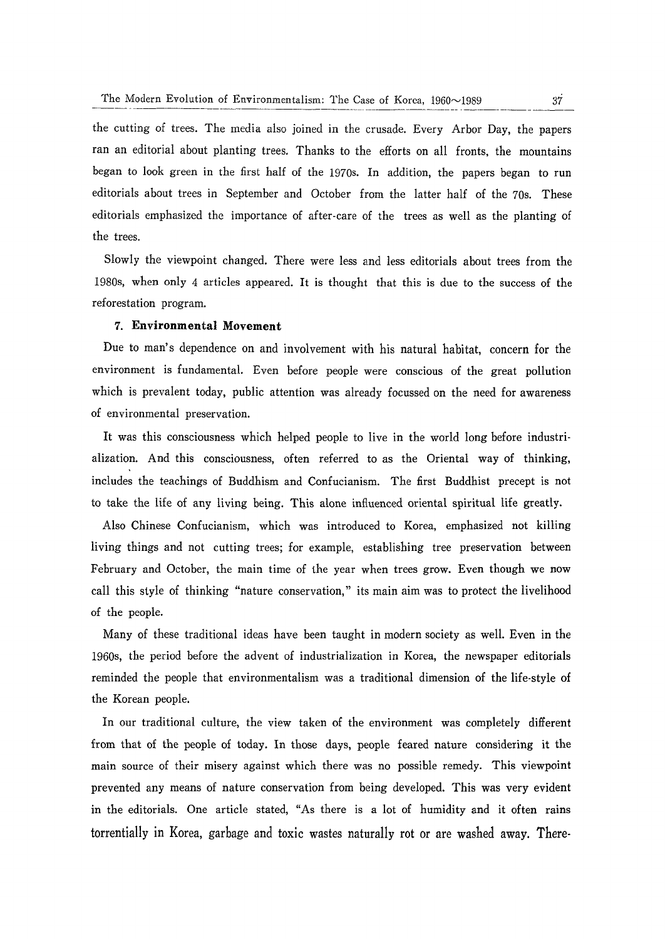the cutting of trees. The media also joined in the crusade. Every Arbor Day, the papers ran an editorial about planting trees. Thanks to the efforts on all fronts, the mountains began to look green in the first half of the 1970s. In addition, the papers began to run editorials about trees in September and October from the latter half of the 70s. These editorials emphasized the importance of after-care of the trees as well as the planting of the trees.

Slowly the viewpoint changed. There were less and less editorials about trees from the 1980s, when only 4 articles appeared. It is thought that this is due to the success of the reforestation program.

# 7. **Environmental Movement**

Due to man's dependence on and involvement with his natural habitat, concern for the environment is fundamental. Even before people were conscious of the great pollution which is prevalent today, public attention was already focussed on the need for awareness of environmental preservation.

It was this consciousness which helped people to live in the world long before industrialization. And this consciousness, often referred to as the Oriental way of thinking, includes the teachings of Buddhism and Confucianism. The first Buddhist precept is not to take the life of any living being. This alone influenced oriental spiritual life greatly.

Also Chinese Confucianism, which was introduced to Korea, emphasized not killing living things and not cutting trees; for example, establishing tree preservation between February and October, the main time of the year when trees grow. Even though we now call this style of thinking "nature conservation," its main aim was to protect the livelihood of the people.

Many of these traditional ideas have been taught in modern society as well. Even in the 1960s, the period before the advent of industrialization in Korea, the newspaper editorials reminded the people that environmentalism was a traditional dimension of the life-style of the Korean people.

In our traditional culture, the view taken of the environment was completely different from that of the people of today. In those days, people feared nature considering it the main source of their misery against which there was no possible remedy. This viewpoint prevented any means of nature conservation from being developed. This was very evident in the editorials. One article stated, "As there is a lot of humidity and it often rains torrentially in Korea, garbage and toxic wastes naturally rot or are washed away. There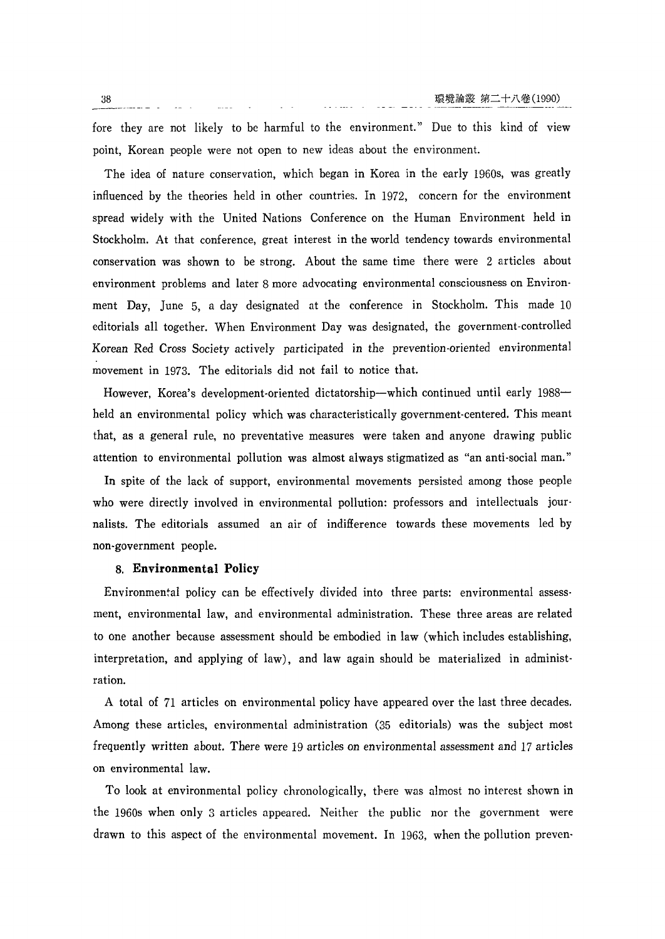fore they are not likely to be harmful to the environment." Due to this kind of view point, Korean people were not open to new ideas about the environment.

The idea of nature conservation, which began in Korea in the early 1960s, was greatly influenced by the theories held in other countries. In 1972, concern for the environment spread widely with the United Nations Conference on the Human Environment held in Stockholm. At that conference, great interest in the world tendency towards environmental conservation was shown to be strong. About the same time there were 2 articles about environment problems and later 8 more advocating environmental consciousness on Environment Day, June 5, a day designated at the conference in Stockholm. This made 10 editorials all together. When Environment Day was designated, the government-controlled Korean Red Cross Society actively participated in the prevention-oriented environmental movement in 1973. The editorials did not fail to notice that.

However, Korea's development-oriented dictatorship-which continued until early 1988 held an environmental policy which was characteristically government-centered. This meant that, as a general rule, no preventative measures were taken and anyone drawing public attention to environmental pollution was almost always stigmatized as "an anti-social man."

In spite of the lack of support, environmental movements persisted among those people who were directly involved in environmental pollution: professors and intellectuals journalists. The editorials assumed an air of indifference towards these movements led by non-government people.

#### 8. **Environmental Policy**

Environmental policy can be effectively divided into three parts: environmental assessment, environmental law, and environmental administration. These three areas are related to one another because assessment should be embodied in law (which includes establishing, interpretation, and applying of law), and law again should be materialized in administration.

A total of 71 articles on environmental policy have appeared over the last three decades. Among these articles, environmental administration (35 editorials) was the subject most frequently written about. There were 19 articles on environmental assessment and 17 articles on environmental law.

To look at environmental policy chronologically, there was almost no interest shown in the 1960s when only 3 articles appeared. Neither the public nor the government were drawn to this aspect of the environmental movement. In 1963, when the pollution preven-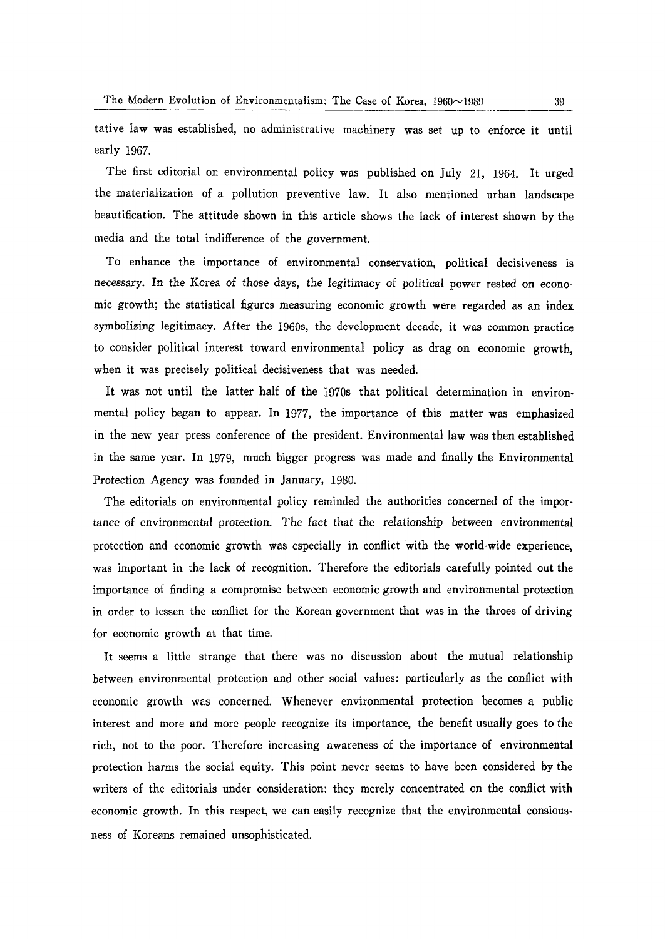tative law was established, no administrative machinery was set up to enforce it until early 1967.

The first editorial on environmental policy was published on July 21, 1964. It urged the materialization of a pollution preventive law. It also mentioned urban landscape beautification. The attitude shown in this article shows the lack of interest shown by the media and the total indifference of the government.

To enhance the importance of environmental conservation, political decisiveness is necessary. In the Korea of those days, the legitimacy of political power rested on economic growth; the statistical figures measuring economic growth were regarded as an index symbolizing legitimacy. After the 1960s, the development decade, it was common practice to consider political interest toward environmental policy as drag on economic growth, when it was precisely political decisiveness that was needed.

It was not until the latter half of the 1970s that political determination in environmental policy began to appear. In 1977, the importance of this matter was emphasized in the new year press conference of the president. Environmental law was then established in the same year. In 1979, much bigger progress was made and finally the Environmental Protection Agency was founded in January, 1980.

The editorials on environmental policy reminded the authorities concerned of the importance of environmental protection. The fact that the relationship between environmental protection and economic growth was especially in conflict with the world-wide experience, was important in the lack of recognition. Therefore the editorials carefully pointed out the importance of finding a compromise between economic growth and environmental protection in order to lessen the conflict for the Korean government that was in the throes of driving for economic growth at that time.

It seems a little strange that there was no discussion about the mutual relationship between environmental protection and other social values: particularly as the conflict with economic growth was concerned. Whenever environmental protection becomes a public interest and more and more people recognize its importance, the benefit usually goes to the rich, not to the poor. Therefore increasing awareness of the importance of environmental protection harms the social equity. This point never seems to have been considered by the writers of the editorials under consideration: they merely concentrated on the conflict with economic growth. In this respect, we can easily recognize that the environmental consiousness of Koreans remained unsophisticated.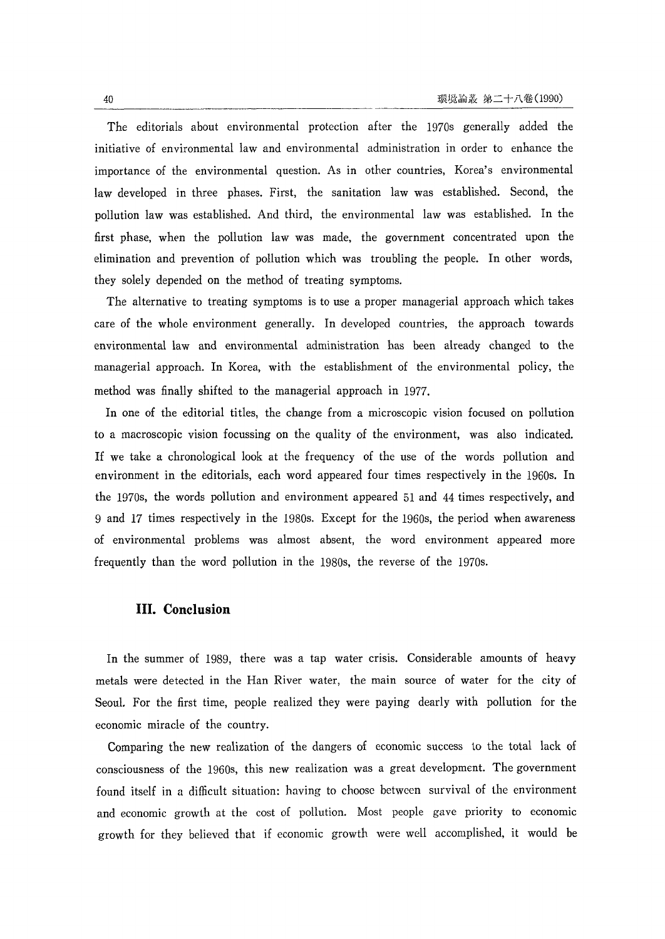The editorials about environmental protection after the 1970s generally added the initiative of environmental law and environmental administration in order to enhance the importance of the environmental question. As in other countries, Korea's environmental law developed in three phases. First, the sanitation law was established. Second, the pollution law was established. And third, the environmental law was established. In the first phase, when the pollution law was made, the government concentrated upon the elimination and prevention of pollution which was troubling the people. In other words, they solely depended on the method of treating symptoms.

The alternative to treating symptoms is to use a proper managerial approach which takes care of the whole environment generally. In developed countries, the approach towards environmental law and environmental administration has been already changed to the managerial approach. In Korea, with the establishment of the environmental policy, the method was finally shifted to the managerial approach in 1977.

In one of the editorial titles, the change from a microscopic vision focused on pollution to a macroscopic vision focussing on the quality of the environment, was also indicated. If we take a chronological look at the frequency of the use of the words pollution and environment in the editorials, each word appeared four times respectively in the 1960s. In the 1970s, the words pollution and environment appeared 51 and 44 times respectively, and 9 and 17 times respectively in the 1980s. Except for the 1960s, the period when awareness of environmental problems was almost absent, the word environment appeared more frequently than the word pollution in the 1980s, the reverse of the 1970s.

# **III. Conclusion**

In the summer of 1989, there was a tap water crisis. Considerable amounts of heavy metals were detected in the Han River water, the main source of water for the city of Seoul. For the first time, people realized they were paying dearly with pollution for the economic miracle of the country.

Comparing the new realization of the dangers of economic success to the total lack of consciousness of the 1960s, this new realization was a great development. The government found itself in a difficult situation: having to choose between survival of the environment and economic growth at the cost of pollution. Most people gave priority to economic growth for they believed that if economic growth were well accomplished, it would be